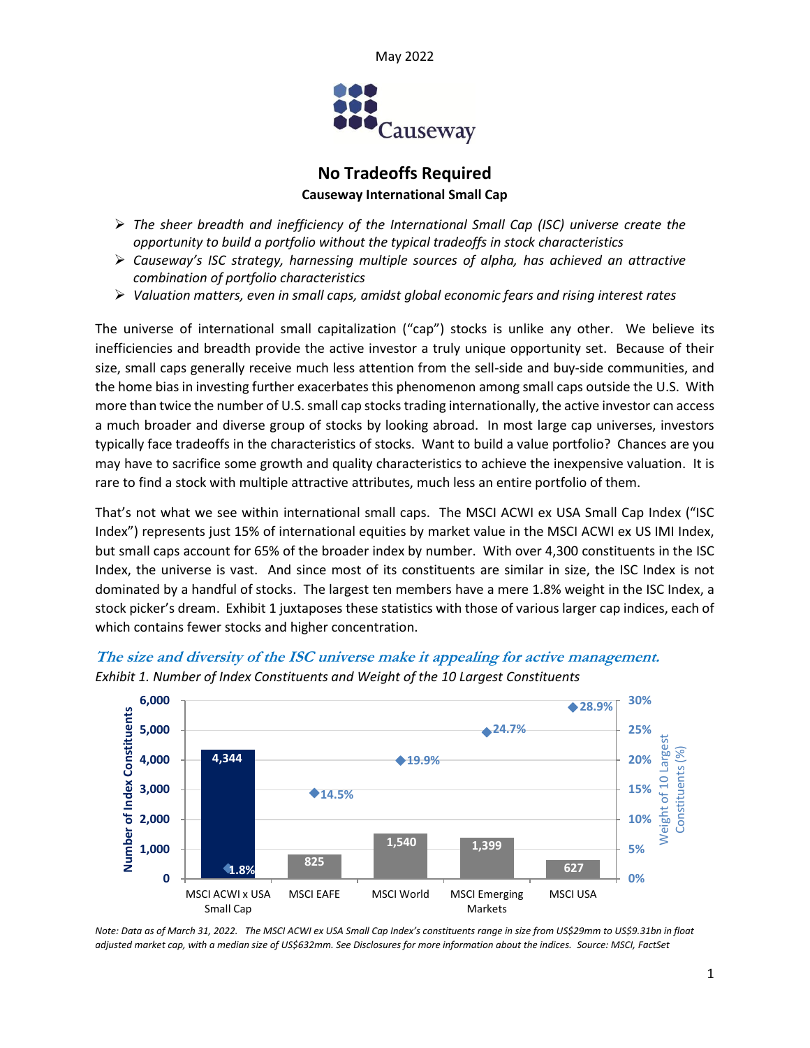



# **No Tradeoffs Required Causeway International Small Cap**

- ➢ *The sheer breadth and inefficiency of the International Small Cap (ISC) universe create the opportunity to build a portfolio without the typical tradeoffs in stock characteristics*
- ➢ *Causeway's ISC strategy, harnessing multiple sources of alpha, has achieved an attractive combination of portfolio characteristics*
- ➢ *Valuation matters, even in small caps, amidst global economic fears and rising interest rates*

The universe of international small capitalization ("cap") stocks is unlike any other. We believe its inefficiencies and breadth provide the active investor a truly unique opportunity set. Because of their size, small caps generally receive much less attention from the sell-side and buy-side communities, and the home bias in investing further exacerbates this phenomenon among small caps outside the U.S. With more than twice the number of U.S. small cap stocks trading internationally, the active investor can access a much broader and diverse group of stocks by looking abroad. In most large cap universes, investors typically face tradeoffs in the characteristics of stocks. Want to build a value portfolio? Chances are you may have to sacrifice some growth and quality characteristics to achieve the inexpensive valuation. It is rare to find a stock with multiple attractive attributes, much less an entire portfolio of them.

That's not what we see within international small caps. The MSCI ACWI ex USA Small Cap Index ("ISC Index") represents just 15% of international equities by market value in the MSCI ACWI ex US IMI Index, but small caps account for 65% of the broader index by number. With over 4,300 constituents in the ISC Index, the universe is vast. And since most of its constituents are similar in size, the ISC Index is not dominated by a handful of stocks. The largest ten members have a mere 1.8% weight in the ISC Index, a stock picker's dream. Exhibit 1 juxtaposes these statistics with those of various larger cap indices, each of which contains fewer stocks and higher concentration.



**The size and diversity of the ISC universe make it appealing for active management.** *Exhibit 1. Number of Index Constituents and Weight of the 10 Largest Constituents*

*Note: Data as of March 31, 2022. The MSCI ACWI ex USA Small Cap Index's constituents range in size from US\$29mm to US\$9.31bn in float adjusted market cap, with a median size of US\$632mm. See Disclosures for more information about the indices. Source: MSCI, FactSet*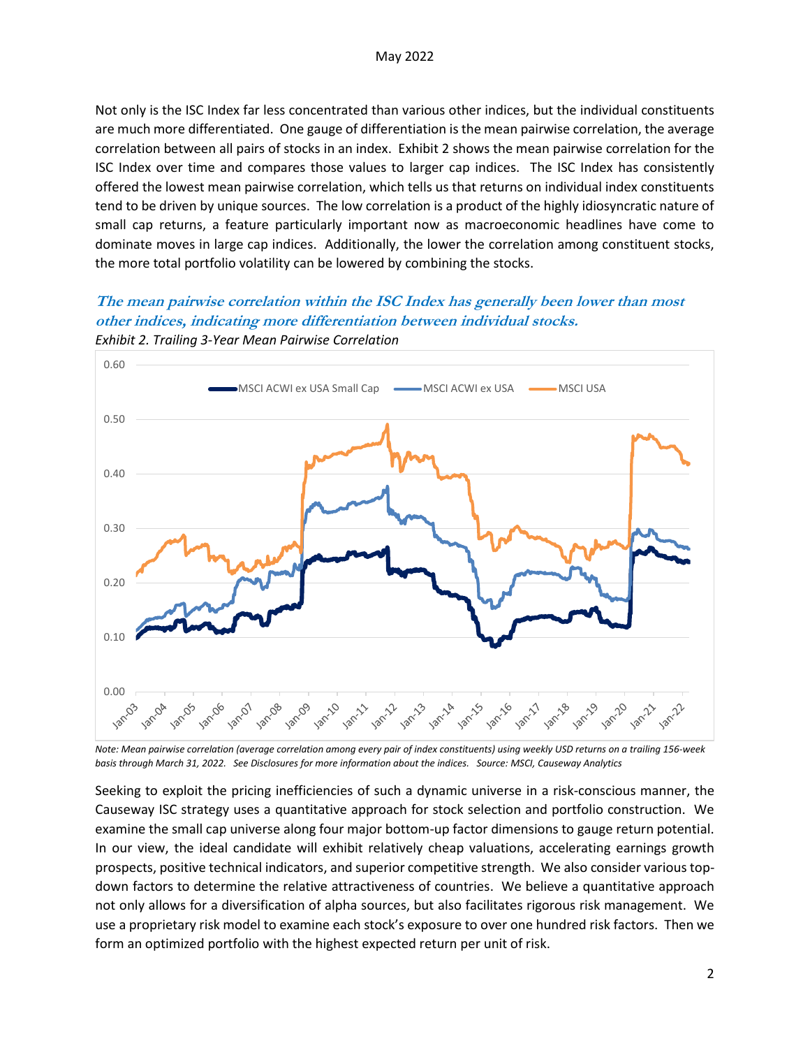Not only is the ISC Index far less concentrated than various other indices, but the individual constituents are much more differentiated. One gauge of differentiation is the mean pairwise correlation, the average correlation between all pairs of stocks in an index. Exhibit 2 shows the mean pairwise correlation for the ISC Index over time and compares those values to larger cap indices. The ISC Index has consistently offered the lowest mean pairwise correlation, which tells us that returns on individual index constituents tend to be driven by unique sources. The low correlation is a product of the highly idiosyncratic nature of small cap returns, a feature particularly important now as macroeconomic headlines have come to dominate moves in large cap indices. Additionally, the lower the correlation among constituent stocks, the more total portfolio volatility can be lowered by combining the stocks.

## **The mean pairwise correlation within the ISC Index has generally been lower than most other indices, indicating more differentiation between individual stocks.** *Exhibit 2. Trailing 3-Year Mean Pairwise Correlation*



*Note: Mean pairwise correlation (average correlation among every pair of index constituents) using weekly USD returns on a trailing 156-week basis through March 31, 2022. See Disclosures for more information about the indices. Source: MSCI, Causeway Analytics*

Seeking to exploit the pricing inefficiencies of such a dynamic universe in a risk-conscious manner, the Causeway ISC strategy uses a quantitative approach for stock selection and portfolio construction. We examine the small cap universe along four major bottom-up factor dimensions to gauge return potential. In our view, the ideal candidate will exhibit relatively cheap valuations, accelerating earnings growth prospects, positive technical indicators, and superior competitive strength. We also consider various topdown factors to determine the relative attractiveness of countries. We believe a quantitative approach not only allows for a diversification of alpha sources, but also facilitates rigorous risk management. We use a proprietary risk model to examine each stock's exposure to over one hundred risk factors. Then we form an optimized portfolio with the highest expected return per unit of risk.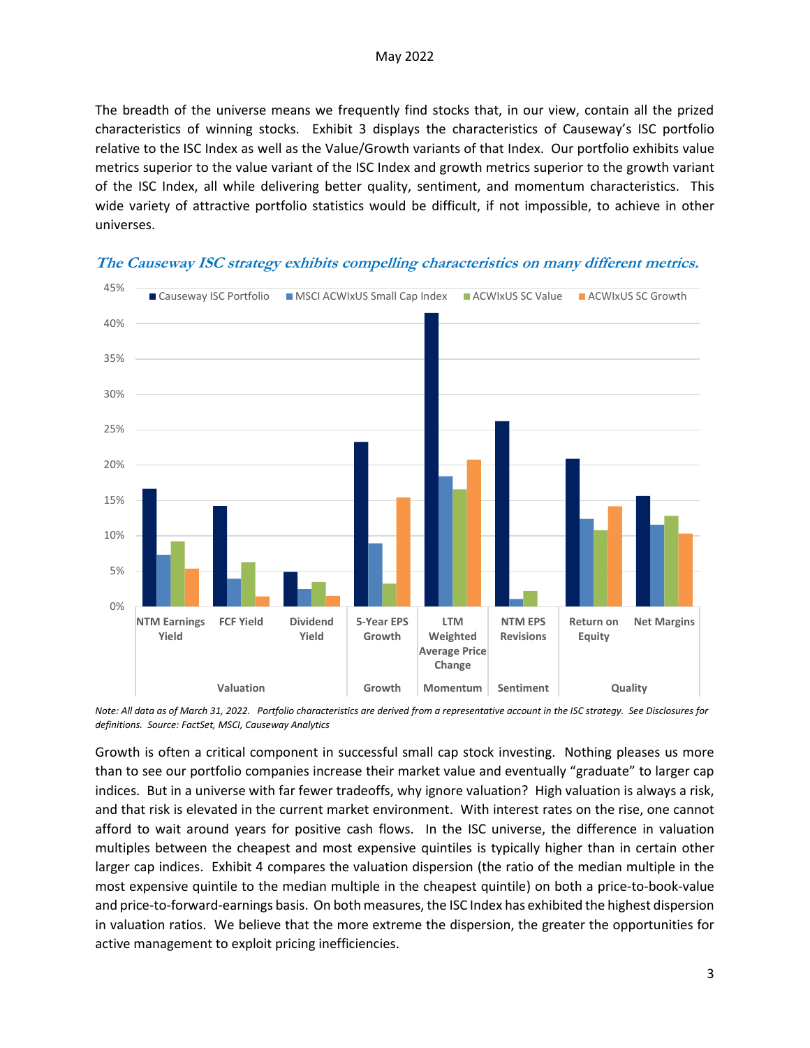The breadth of the universe means we frequently find stocks that, in our view, contain all the prized characteristics of winning stocks. Exhibit 3 displays the characteristics of Causeway's ISC portfolio relative to the ISC Index as well as the Value/Growth variants of that Index. Our portfolio exhibits value metrics superior to the value variant of the ISC Index and growth metrics superior to the growth variant of the ISC Index, all while delivering better quality, sentiment, and momentum characteristics. This wide variety of attractive portfolio statistics would be difficult, if not impossible, to achieve in other universes.



**The Causeway ISC strategy exhibits compelling characteristics on many different metrics.** 

*Note: All data as of March 31, 2022. Portfolio characteristics are derived from a representative account in the ISC strategy. See Disclosures for definitions. Source: FactSet, MSCI, Causeway Analytics*

Growth is often a critical component in successful small cap stock investing. Nothing pleases us more than to see our portfolio companies increase their market value and eventually "graduate" to larger cap indices. But in a universe with far fewer tradeoffs, why ignore valuation? High valuation is always a risk, and that risk is elevated in the current market environment. With interest rates on the rise, one cannot afford to wait around years for positive cash flows. In the ISC universe, the difference in valuation multiples between the cheapest and most expensive quintiles is typically higher than in certain other larger cap indices. Exhibit 4 compares the valuation dispersion (the ratio of the median multiple in the most expensive quintile to the median multiple in the cheapest quintile) on both a price-to-book-value and price-to-forward-earnings basis. On both measures, the ISC Index has exhibited the highest dispersion in valuation ratios. We believe that the more extreme the dispersion, the greater the opportunities for active management to exploit pricing inefficiencies.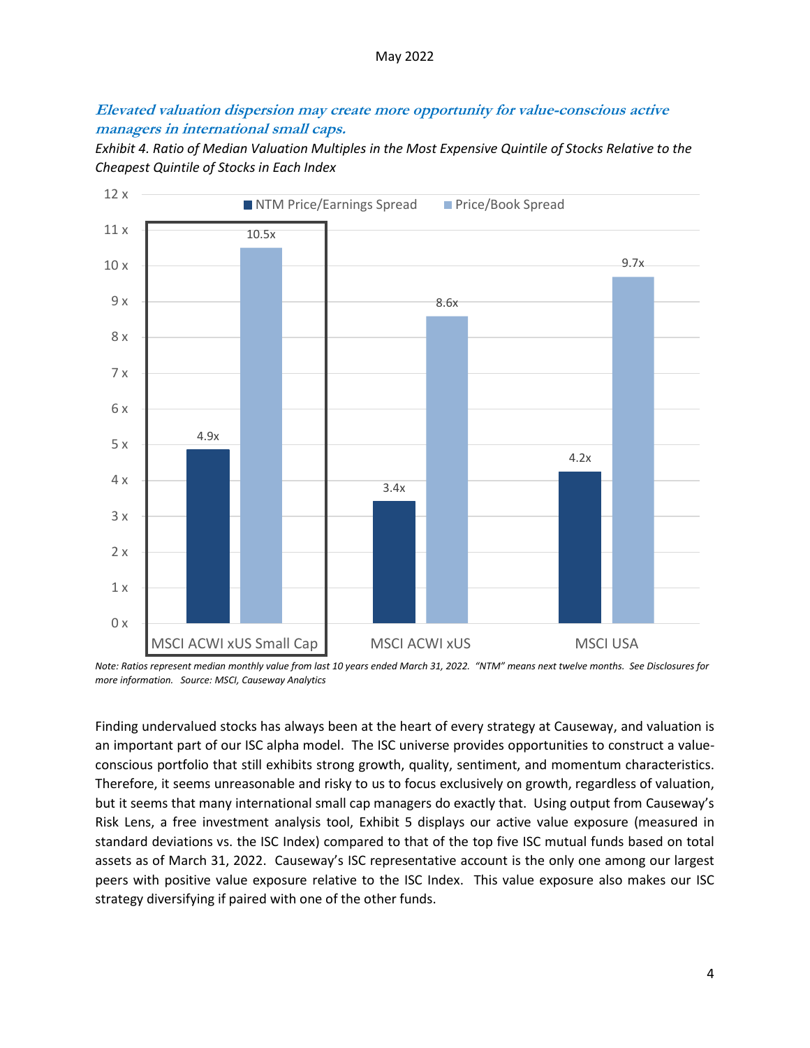#### May 2022

### **Elevated valuation dispersion may create more opportunity for value-conscious active managers in international small caps.**

*Exhibit 4. Ratio of Median Valuation Multiples in the Most Expensive Quintile of Stocks Relative to the Cheapest Quintile of Stocks in Each Index*



*Note: Ratios represent median monthly value from last 10 years ended March 31, 2022. "NTM" means next twelve months. See Disclosures for more information. Source: MSCI, Causeway Analytics*

Finding undervalued stocks has always been at the heart of every strategy at Causeway, and valuation is an important part of our ISC alpha model. The ISC universe provides opportunities to construct a valueconscious portfolio that still exhibits strong growth, quality, sentiment, and momentum characteristics. Therefore, it seems unreasonable and risky to us to focus exclusively on growth, regardless of valuation, but it seems that many international small cap managers do exactly that. Using output from Causeway's Risk Lens, a free investment analysis tool, Exhibit 5 displays our active value exposure (measured in standard deviations vs. the ISC Index) compared to that of the top five ISC mutual funds based on total assets as of March 31, 2022. Causeway's ISC representative account is the only one among our largest peers with positive value exposure relative to the ISC Index. This value exposure also makes our ISC strategy diversifying if paired with one of the other funds.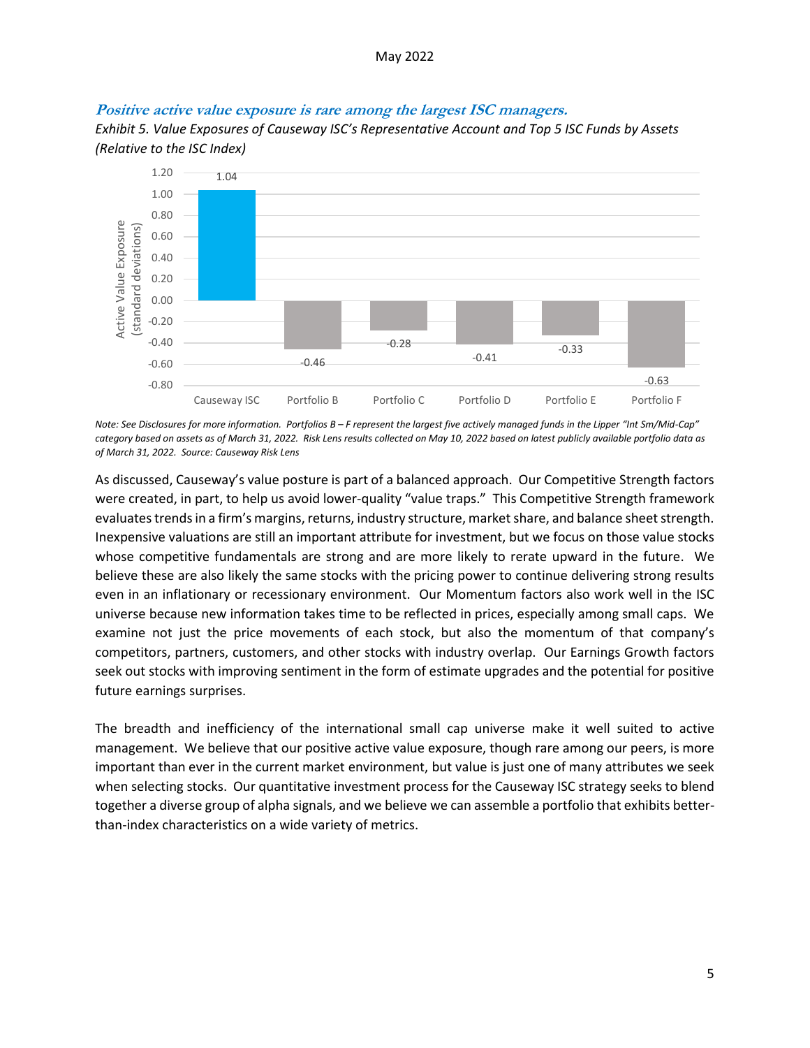#### **Positive active value exposure is rare among the largest ISC managers.**

*Exhibit 5. Value Exposures of Causeway ISC's Representative Account and Top 5 ISC Funds by Assets (Relative to the ISC Index)*



*Note: See Disclosures for more information. Portfolios B – F represent the largest five actively managed funds in the Lipper "Int Sm/Mid-Cap" category based on assets as of March 31, 2022. Risk Lens results collected on May 10, 2022 based on latest publicly available portfolio data as of March 31, 2022. Source: Causeway Risk Lens*

As discussed, Causeway's value posture is part of a balanced approach. Our Competitive Strength factors were created, in part, to help us avoid lower-quality "value traps." This Competitive Strength framework evaluates trends in a firm's margins, returns, industry structure, market share, and balance sheet strength. Inexpensive valuations are still an important attribute for investment, but we focus on those value stocks whose competitive fundamentals are strong and are more likely to rerate upward in the future. We believe these are also likely the same stocks with the pricing power to continue delivering strong results even in an inflationary or recessionary environment. Our Momentum factors also work well in the ISC universe because new information takes time to be reflected in prices, especially among small caps. We examine not just the price movements of each stock, but also the momentum of that company's competitors, partners, customers, and other stocks with industry overlap. Our Earnings Growth factors seek out stocks with improving sentiment in the form of estimate upgrades and the potential for positive future earnings surprises.

The breadth and inefficiency of the international small cap universe make it well suited to active management. We believe that our positive active value exposure, though rare among our peers, is more important than ever in the current market environment, but value is just one of many attributes we seek when selecting stocks. Our quantitative investment process for the Causeway ISC strategy seeks to blend together a diverse group of alpha signals, and we believe we can assemble a portfolio that exhibits betterthan-index characteristics on a wide variety of metrics.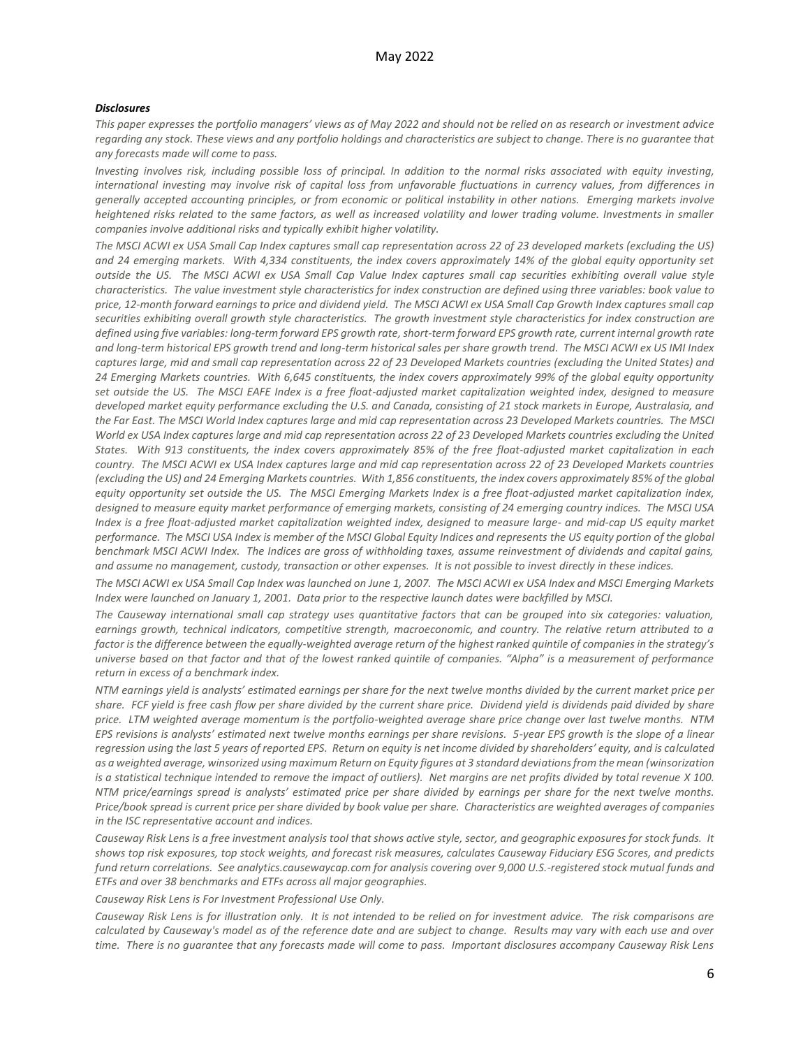#### *Disclosures*

*This paper expresses the portfolio managers' views as of May 2022 and should not be relied on as research or investment advice regarding any stock. These views and any portfolio holdings and characteristics are subject to change. There is no guarantee that any forecasts made will come to pass.*

*Investing involves risk, including possible loss of principal. In addition to the normal risks associated with equity investing, international investing may involve risk of capital loss from unfavorable fluctuations in currency values, from differences in generally accepted accounting principles, or from economic or political instability in other nations. Emerging markets involve heightened risks related to the same factors, as well as increased volatility and lower trading volume. Investments in smaller companies involve additional risks and typically exhibit higher volatility.*

*The MSCI ACWI ex USA Small Cap Index captures small cap representation across 22 of 23 developed markets (excluding the US) and 24 emerging markets. With 4,334 constituents, the index covers approximately 14% of the global equity opportunity set outside the US. The MSCI ACWI ex USA Small Cap Value Index captures small cap securities exhibiting overall value style characteristics. The value investment style characteristics for index construction are defined using three variables: book value to price, 12-month forward earnings to price and dividend yield. The MSCI ACWI ex USA Small Cap Growth Index captures small cap securities exhibiting overall growth style characteristics. The growth investment style characteristics for index construction are defined using five variables: long-term forward EPS growth rate, short-term forward EPS growth rate, current internal growth rate and long-term historical EPS growth trend and long-term historical sales per share growth trend. The MSCI ACWI ex US IMI Index captures large, mid and small cap representation across 22 of 23 Developed Markets countries (excluding the United States) and 24 Emerging Markets countries. With 6,645 constituents, the index covers approximately 99% of the global equity opportunity set outside the US. The MSCI EAFE Index is a free float-adjusted market capitalization weighted index, designed to measure developed market equity performance excluding the U.S. and Canada, consisting of 21 stock markets in Europe, Australasia, and the Far East. The MSCI World Index captures large and mid cap representation across 23 Developed Markets countries. The MSCI World ex USA Index captures large and mid cap representation across 22 of 23 Developed Markets countries excluding the United States. With 913 constituents, the index covers approximately 85% of the free float-adjusted market capitalization in each country. The MSCI ACWI ex USA Index captures large and mid cap representation across 22 of 23 Developed Markets countries (excluding the US) and 24 Emerging Markets countries. With 1,856 constituents, the index covers approximately 85% of the global equity opportunity set outside the US. The MSCI Emerging Markets Index is a free float-adjusted market capitalization index, designed to measure equity market performance of emerging markets, consisting of 24 emerging country indices. The MSCI USA Index is a free float-adjusted market capitalization weighted index, designed to measure large- and mid-cap US equity market performance. The MSCI USA Index is member of the MSCI Global Equity Indices and represents the US equity portion of the global benchmark MSCI ACWI Index. The Indices are gross of withholding taxes, assume reinvestment of dividends and capital gains, and assume no management, custody, transaction or other expenses. It is not possible to invest directly in these indices.* 

*The MSCI ACWI ex USA Small Cap Index was launched on June 1, 2007. The MSCI ACWI ex USA Index and MSCI Emerging Markets Index were launched on January 1, 2001. Data prior to the respective launch dates were backfilled by MSCI.*

*The Causeway international small cap strategy uses quantitative factors that can be grouped into six categories: valuation, earnings growth, technical indicators, competitive strength, macroeconomic, and country. The relative return attributed to a factor is the difference between the equally-weighted average return of the highest ranked quintile of companies in the strategy's universe based on that factor and that of the lowest ranked quintile of companies. "Alpha" is a measurement of performance return in excess of a benchmark index.*

*NTM earnings yield is analysts' estimated earnings per share for the next twelve months divided by the current market price per share. FCF yield is free cash flow per share divided by the current share price. Dividend yield is dividends paid divided by share price. LTM weighted average momentum is the portfolio-weighted average share price change over last twelve months. NTM EPS revisions is analysts' estimated next twelve months earnings per share revisions. 5-year EPS growth is the slope of a linear regression using the last 5 years of reported EPS. Return on equity is net income divided by shareholders' equity, and is calculated as a weighted average, winsorized using maximum Return on Equity figures at 3 standard deviations from the mean (winsorization is a statistical technique intended to remove the impact of outliers). Net margins are net profits divided by total revenue X 100. NTM price/earnings spread is analysts' estimated price per share divided by earnings per share for the next twelve months. Price/book spread is current price per share divided by book value per share. Characteristics are weighted averages of companies in the ISC representative account and indices.*

*Causeway Risk Lens is a free investment analysis tool that shows active style, sector, and geographic exposures for stock funds. It shows top risk exposures, top stock weights, and forecast risk measures, calculates Causeway Fiduciary ESG Scores, and predicts fund return correlations. See analytics.causewaycap.com for analysis covering over 9,000 U.S.-registered stock mutual funds and ETFs and over 38 benchmarks and ETFs across all major geographies.*

*Causeway Risk Lens is For Investment Professional Use Only.*

*Causeway Risk Lens is for illustration only. It is not intended to be relied on for investment advice. The risk comparisons are calculated by Causeway's model as of the reference date and are subject to change. Results may vary with each use and over time. There is no guarantee that any forecasts made will come to pass. Important disclosures accompany Causeway Risk Lens*